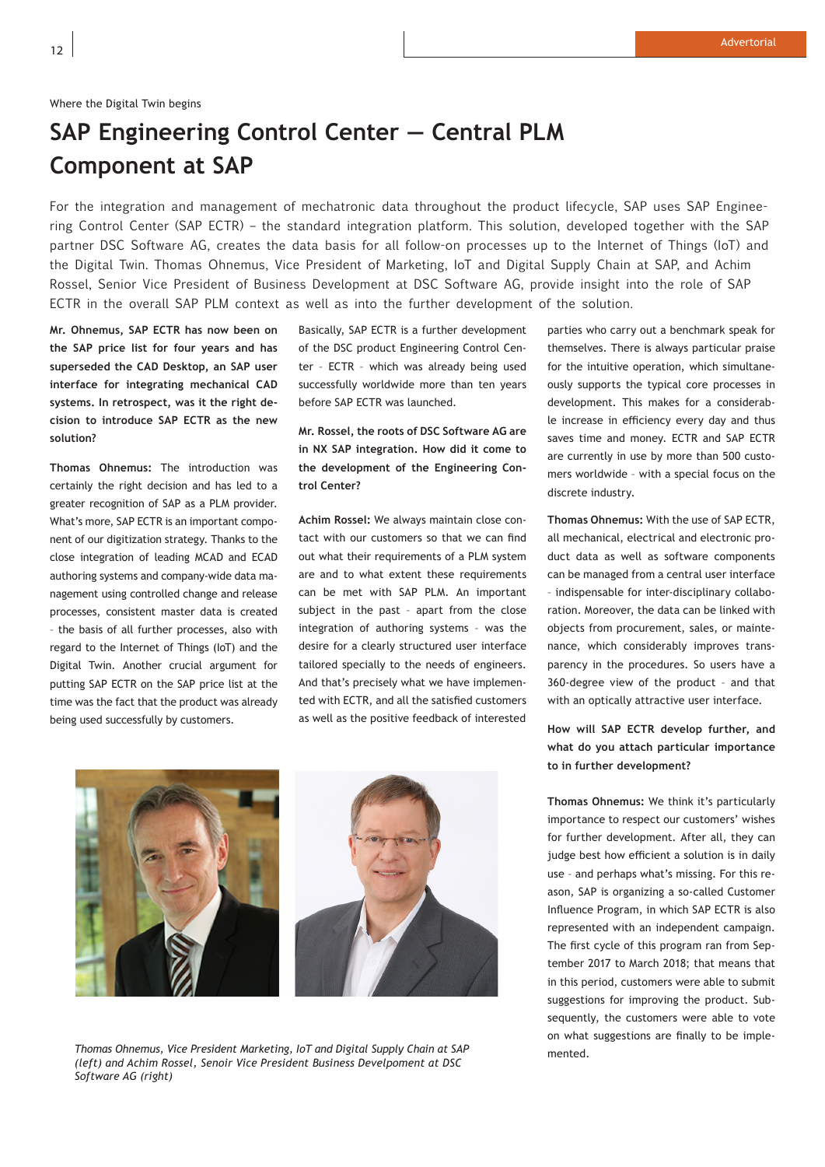## **SAP Engineering Control Center — Central PLM Component at SAP**

For the integration and management of mechatronic data throughout the product lifecycle, SAP uses SAP Engineering Control Center (SAP ECTR) – the standard integration platform. This solution, developed together with the SAP partner DSC Software AG, creates the data basis for all follow-on processes up to the Internet of Things (IoT) and the Digital Twin. Thomas Ohnemus, Vice President of Marketing, IoT and Digital Supply Chain at SAP, and Achim Rossel, Senior Vice President of Business Development at DSC Software AG, provide insight into the role of SAP ECTR in the overall SAP PLM context as well as into the further development of the solution.

**Mr. Ohnemus, SAP ECTR has now been on the SAP price list for four years and has superseded the CAD Desktop, an SAP user interface for integrating mechanical CAD systems. In retrospect, was it the right decision to introduce SAP ECTR as the new solution?** 

**Thomas Ohnemus:** The introduction was certainly the right decision and has led to a greater recognition of SAP as a PLM provider. What's more, SAP ECTR is an important component of our digitization strategy. Thanks to the close integration of leading MCAD and ECAD authoring systems and company-wide data management using controlled change and release processes, consistent master data is created – the basis of all further processes, also with regard to the Internet of Things (IoT) and the Digital Twin. Another crucial argument for putting SAP ECTR on the SAP price list at the time was the fact that the product was already being used successfully by customers.

Basically, SAP ECTR is a further development of the DSC product Engineering Control Center – ECTR – which was already being used successfully worldwide more than ten years before SAP ECTR was launched.

**Mr. Rossel, the roots of DSC Software AG are in NX SAP integration. How did it come to the development of the Engineering Control Center?**

**Achim Rossel:** We always maintain close contact with our customers so that we can find out what their requirements of a PLM system are and to what extent these requirements can be met with SAP PLM. An important subject in the past – apart from the close integration of authoring systems – was the desire for a clearly structured user interface tailored specially to the needs of engineers. And that's precisely what we have implemented with ECTR, and all the satisfied customers as well as the positive feedback of interested parties who carry out a benchmark speak for themselves. There is always particular praise for the intuitive operation, which simultaneously supports the typical core processes in development. This makes for a considerable increase in efficiency every day and thus saves time and money. ECTR and SAP ECTR are currently in use by more than 500 customers worldwide – with a special focus on the discrete industry.

**Thomas Ohnemus:** With the use of SAP ECTR, all mechanical, electrical and electronic product data as well as software components can be managed from a central user interface – indispensable for inter-disciplinary collaboration. Moreover, the data can be linked with objects from procurement, sales, or maintenance, which considerably improves transparency in the procedures. So users have a 360-degree view of the product – and that with an optically attractive user interface.

**How will SAP ECTR develop further, and what do you attach particular importance to in further development?**

**Thomas Ohnemus:** We think it's particularly importance to respect our customers' wishes for further development. After all, they can judge best how efficient a solution is in daily use – and perhaps what's missing. For this reason, SAP is organizing a so-called Customer Influence Program, in which SAP ECTR is also represented with an independent campaign. The first cycle of this program ran from September 2017 to March 2018; that means that in this period, customers were able to submit suggestions for improving the product. Subsequently, the customers were able to vote on what suggestions are finally to be implemented.



*Thomas Ohnemus, Vice President Marketing, IoT and Digital Supply Chain at SAP (left) and Achim Rossel, Senoir Vice President Business Develpoment at DSC Software AG (right)*